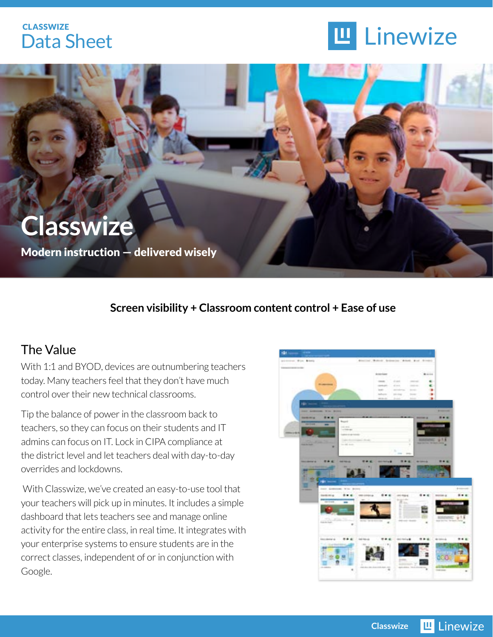## **CLASSWIZE** Data Sheet





#### **Screen visibility + Classroom content control + Ease of use**

## The Value

With 1:1 and BYOD, devices are outnumbering teachers today. Many teachers feel that they don't have much control over their new technical classrooms.

Tip the balance of power in the classroom back to teachers, so they can focus on their students and IT admins can focus on IT. Lock in CIPA compliance at the district level and let teachers deal with day-to-day overrides and lockdowns.

 With Classwize, we've created an easy-to-use tool that your teachers will pick up in minutes. It includes a simple dashboard that lets teachers see and manage online activity for the entire class, in real time. It integrates with your enterprise systems to ensure students are in the correct classes, independent of or in conjunction with Google.